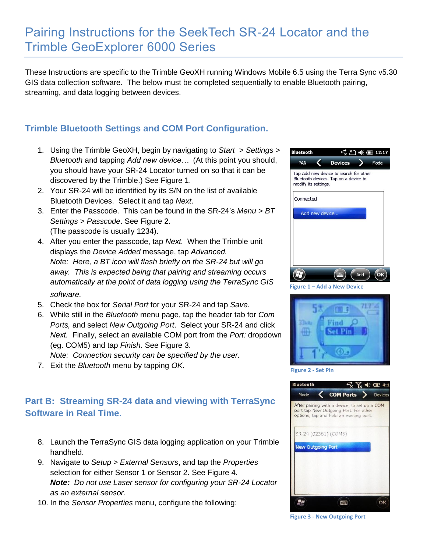## Pairing Instructions for the SeekTech SR-24 Locator and the Trimble GeoExplorer 6000 Series

These Instructions are specific to the Trimble GeoXH running Windows Mobile 6.5 using the Terra Sync v5.30 GIS data collection software. The below must be completed sequentially to enable Bluetooth pairing, streaming, and data logging between devices.

## **Trimble Bluetooth Settings and COM Port Configuration.**

- 1. Using the Trimble GeoXH, begin by navigating to *Start > Settings > Bluetooth* and tapping *Add new device…* (At this point you should, you should have your SR-24 Locator turned on so that it can be discovered by the Trimble.) See Figure 1.
- 2. Your SR-24 will be identified by its S/N on the list of available Bluetooth Devices. Select it and tap *Next*.
- 3. Enter the Passcode. This can be found in the SR-24's *Menu > BT Settings > Passcode*. See Figure 2. (The passcode is usually 1234).
- 4. After you enter the passcode, tap *Next.* When the Trimble unit displays the *Device Added* message, tap *Advanced. Note: Here, a BT icon will flash briefly on the SR-24 but will go away. This is expected being that pairing and streaming occurs automatically at the point of data logging using the TerraSync GIS software.*
- 5. Check the box for *Serial Port* for your SR-24 and tap *Save.*
- 6. While still in the *Bluetooth* menu page, tap the header tab for *Com Ports,* and select *New Outgoing Port*. Select your SR-24 and click *Next.* Finally, select an available COM port from the *Port:* dropdown (eg. COM5) and tap *Finish*. See Figure 3.
- *Note: Connection security can be specified by the user.*
- 7. Exit the *Bluetooth* menu by tapping *OK*.

## **Part B: Streaming SR-24 data and viewing with TerraSync Software in Real Time.**

- 8. Launch the TerraSync GIS data logging application on your Trimble handheld.
- 9. Navigate to *Setup > External Sensors*, and tap the *Properties*  selection for either Sensor 1 or Sensor 2. See Figure 4. *Note: Do not use Laser sensor for configuring your SR-24 Locator as an external sensor.*
- 10. In the *Sensor Properties* menu, configure the following:







**Figure 2 - Set Pin**



**Figure 3 - New Outgoing Port**